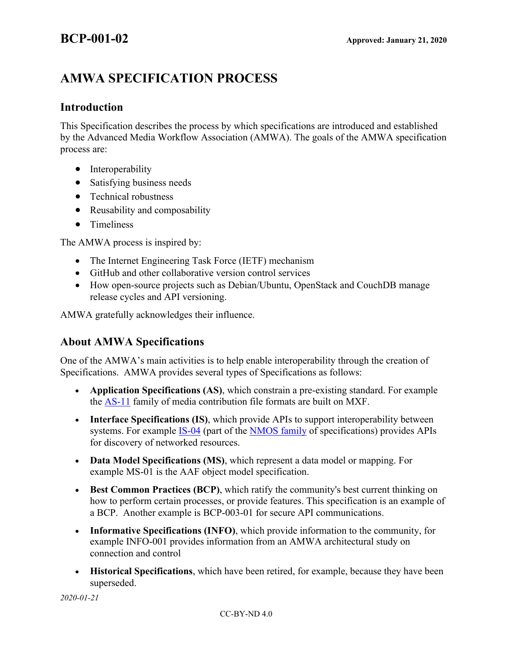# **AMWA SPECIFICATION PROCESS**

# **Introduction**

This Specification describes the process by which specifications are introduced and established by the Advanced Media Workflow Association (AMWA). The goals of the AMWA specification process are:

- Interoperability
- Satisfying business needs
- Technical robustness
- Reusability and composability
- Timeliness

The AMWA process is inspired by:

- The Internet Engineering Task Force (IETF) mechanism
- GitHub and other collaborative version control services
- How open-source projects such as Debian/Ubuntu, OpenStack and CouchDB manage release cycles and API versioning.

AMWA gratefully acknowledges their influence.

# **About AMWA Specifications**

One of the AMWA's main activities is to help enable interoperability through the creation of Specifications. AMWA provides several types of Specifications as follows:

- **Application Specifications (AS)**, which constrain a pre-existing standard. For example the AS-11 family of media contribution file formats are built on MXF.
- **Interface Specifications (IS)**, which provide APIs to support interoperability between systems. For example **IS-04** (part of the **NMOS** family of specifications) provides APIs for discovery of networked resources.
- **Data Model Specifications (MS)**, which represent a data model or mapping. For example MS-01 is the AAF object model specification.
- **Best Common Practices (BCP)**, which ratify the community's best current thinking on how to perform certain processes, or provide features. This specification is an example of a BCP. Another example is BCP-003-01 for secure API communications.
- **Informative Specifications (INFO)**, which provide information to the community, for example INFO-001 provides information from an AMWA architectural study on connection and control
- **Historical Specifications**, which have been retired, for example, because they have been superseded.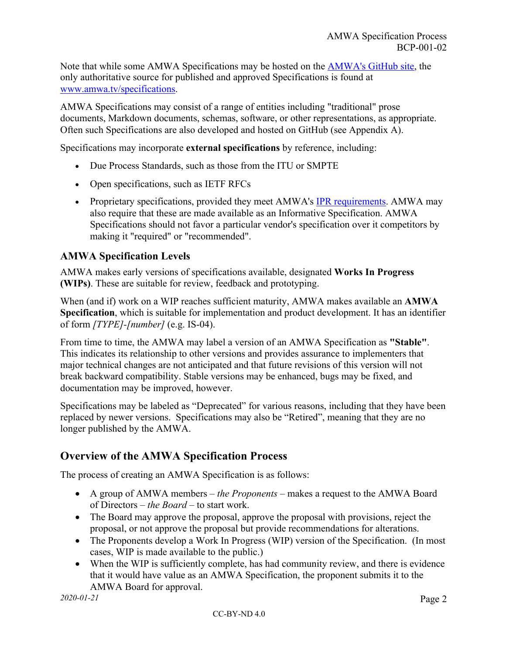Note that while some AMWA Specifications may be hosted on the AMWA's GitHub site, the only authoritative source for published and approved Specifications is found at www.amwa.tv/specifications.

AMWA Specifications may consist of a range of entities including "traditional" prose documents, Markdown documents, schemas, software, or other representations, as appropriate. Often such Specifications are also developed and hosted on GitHub (see Appendix A).

Specifications may incorporate **external specifications** by reference, including:

- Due Process Standards, such as those from the ITU or SMPTE
- Open specifications, such as IETF RFCs
- Proprietary specifications, provided they meet AMWA's IPR requirements. AMWA may also require that these are made available as an Informative Specification. AMWA Specifications should not favor a particular vendor's specification over it competitors by making it "required" or "recommended".

### **AMWA Specification Levels**

AMWA makes early versions of specifications available, designated **Works In Progress (WIPs)**. These are suitable for review, feedback and prototyping.

When (and if) work on a WIP reaches sufficient maturity, AMWA makes available an **AMWA Specification**, which is suitable for implementation and product development. It has an identifier of form *[TYPE]-[number]* (e.g. IS-04).

From time to time, the AMWA may label a version of an AMWA Specification as **"Stable"**. This indicates its relationship to other versions and provides assurance to implementers that major technical changes are not anticipated and that future revisions of this version will not break backward compatibility. Stable versions may be enhanced, bugs may be fixed, and documentation may be improved, however.

Specifications may be labeled as "Deprecated" for various reasons, including that they have been replaced by newer versions. Specifications may also be "Retired", meaning that they are no longer published by the AMWA.

# **Overview of the AMWA Specification Process**

The process of creating an AMWA Specification is as follows:

- A group of AMWA members *the Proponents* makes a request to the AMWA Board of Directors – *the Board* – to start work.
- The Board may approve the proposal, approve the proposal with provisions, reject the proposal, or not approve the proposal but provide recommendations for alterations.
- The Proponents develop a Work In Progress (WIP) version of the Specification. (In most cases, WIP is made available to the public.)
- When the WIP is sufficiently complete, has had community review, and there is evidence that it would have value as an AMWA Specification, the proponent submits it to the AMWA Board for approval.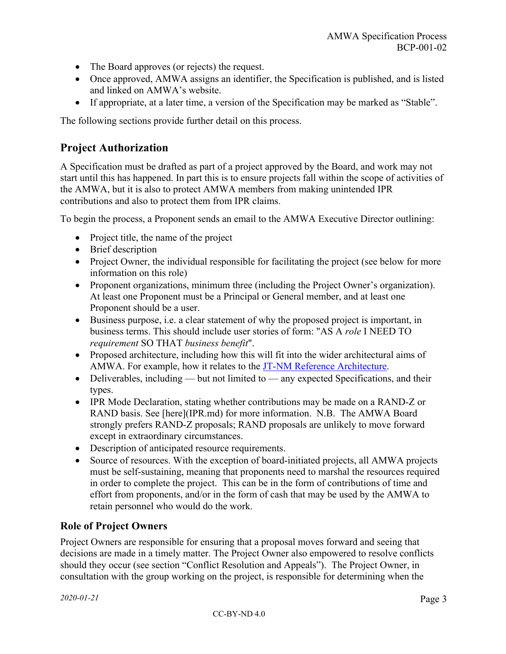- The Board approves (or rejects) the request.
- Once approved, AMWA assigns an identifier, the Specification is published, and is listed and linked on AMWA's website.
- If appropriate, at a later time, a version of the Specification may be marked as "Stable".

The following sections provide further detail on this process.

# **Project Authorization**

A Specification must be drafted as part of a project approved by the Board, and work may not start until this has happened. In part this is to ensure projects fall within the scope of activities of the AMWA, but it is also to protect AMWA members from making unintended IPR contributions and also to protect them from IPR claims.

To begin the process, a Proponent sends an email to the AMWA Executive Director outlining:

- Project title, the name of the project
- Brief description
- Project Owner, the individual responsible for facilitating the project (see below for more information on this role)
- Proponent organizations, minimum three (including the Project Owner's organization). At least one Proponent must be a Principal or General member, and at least one Proponent should be a user.
- Business purpose, i.e. a clear statement of why the proposed project is important, in business terms. This should include user stories of form: "AS A *role* I NEED TO *requirement* SO THAT *business benefit*".
- Proposed architecture, including how this will fit into the wider architectural aims of AMWA. For example, how it relates to the JT-NM Reference Architecture.
- Deliverables, including but not limited to any expected Specifications, and their types.
- IPR Mode Declaration, stating whether contributions may be made on a RAND-Z or RAND basis. See [here](IPR.md) for more information. N.B. The AMWA Board strongly prefers RAND-Z proposals; RAND proposals are unlikely to move forward except in extraordinary circumstances.
- Description of anticipated resource requirements.
- Source of resources. With the exception of board-initiated projects, all AMWA projects must be self-sustaining, meaning that proponents need to marshal the resources required in order to complete the project. This can be in the form of contributions of time and effort from proponents, and/or in the form of cash that may be used by the AMWA to retain personnel who would do the work.

### **Role of Project Owners**

Project Owners are responsible for ensuring that a proposal moves forward and seeing that decisions are made in a timely matter. The Project Owner also empowered to resolve conflicts should they occur (see section "Conflict Resolution and Appeals"). The Project Owner, in consultation with the group working on the project, is responsible for determining when the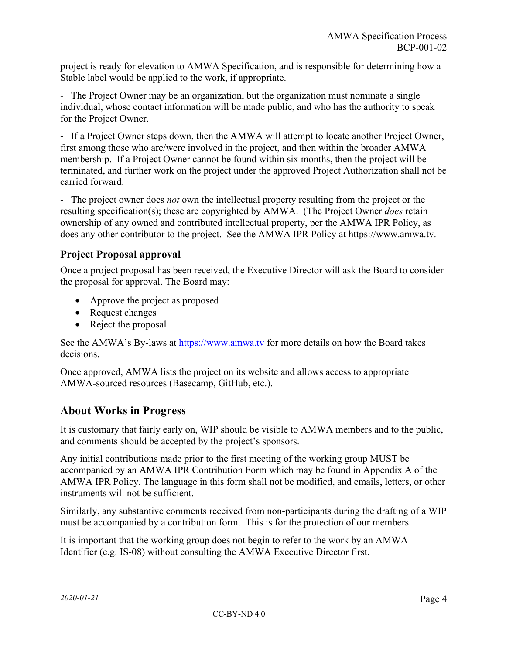project is ready for elevation to AMWA Specification, and is responsible for determining how a Stable label would be applied to the work, if appropriate.

- The Project Owner may be an organization, but the organization must nominate a single individual, whose contact information will be made public, and who has the authority to speak for the Project Owner.

- If a Project Owner steps down, then the AMWA will attempt to locate another Project Owner, first among those who are/were involved in the project, and then within the broader AMWA membership. If a Project Owner cannot be found within six months, then the project will be terminated, and further work on the project under the approved Project Authorization shall not be carried forward.

- The project owner does *not* own the intellectual property resulting from the project or the resulting specification(s); these are copyrighted by AMWA. (The Project Owner *does* retain ownership of any owned and contributed intellectual property, per the AMWA IPR Policy, as does any other contributor to the project. See the AMWA IPR Policy at https://www.amwa.tv.

# **Project Proposal approval**

Once a project proposal has been received, the Executive Director will ask the Board to consider the proposal for approval. The Board may:

- Approve the project as proposed
- Request changes
- Reject the proposal

See the AMWA's By-laws at https://www.amwa.tv for more details on how the Board takes decisions.

Once approved, AMWA lists the project on its website and allows access to appropriate AMWA-sourced resources (Basecamp, GitHub, etc.).

# **About Works in Progress**

It is customary that fairly early on, WIP should be visible to AMWA members and to the public, and comments should be accepted by the project's sponsors.

Any initial contributions made prior to the first meeting of the working group MUST be accompanied by an AMWA IPR Contribution Form which may be found in Appendix A of the AMWA IPR Policy. The language in this form shall not be modified, and emails, letters, or other instruments will not be sufficient.

Similarly, any substantive comments received from non-participants during the drafting of a WIP must be accompanied by a contribution form. This is for the protection of our members.

It is important that the working group does not begin to refer to the work by an AMWA Identifier (e.g. IS-08) without consulting the AMWA Executive Director first.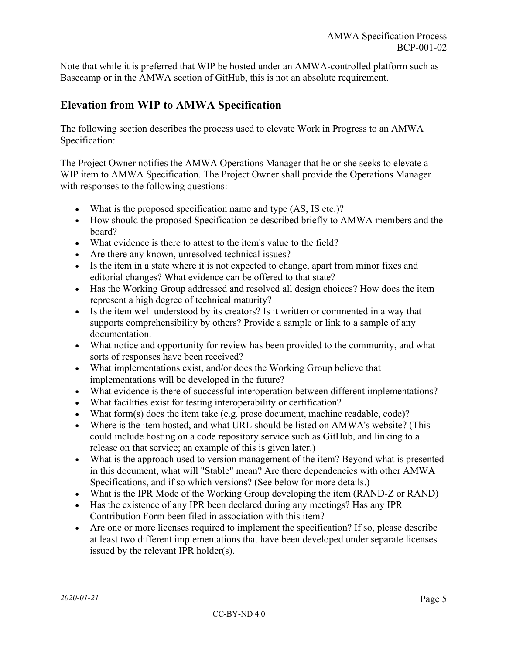Note that while it is preferred that WIP be hosted under an AMWA-controlled platform such as Basecamp or in the AMWA section of GitHub, this is not an absolute requirement.

# **Elevation from WIP to AMWA Specification**

The following section describes the process used to elevate Work in Progress to an AMWA Specification:

The Project Owner notifies the AMWA Operations Manager that he or she seeks to elevate a WIP item to AMWA Specification. The Project Owner shall provide the Operations Manager with responses to the following questions:

- What is the proposed specification name and type (AS, IS etc.)?
- How should the proposed Specification be described briefly to AMWA members and the board?
- What evidence is there to attest to the item's value to the field?
- Are there any known, unresolved technical issues?
- Is the item in a state where it is not expected to change, apart from minor fixes and editorial changes? What evidence can be offered to that state?
- Has the Working Group addressed and resolved all design choices? How does the item represent a high degree of technical maturity?
- Is the item well understood by its creators? Is it written or commented in a way that supports comprehensibility by others? Provide a sample or link to a sample of any documentation.
- What notice and opportunity for review has been provided to the community, and what sorts of responses have been received?
- What implementations exist, and/or does the Working Group believe that implementations will be developed in the future?
- What evidence is there of successful interoperation between different implementations?
- What facilities exist for testing interoperability or certification?
- What form(s) does the item take (e.g. prose document, machine readable, code)?
- Where is the item hosted, and what URL should be listed on AMWA's website? (This could include hosting on a code repository service such as GitHub, and linking to a release on that service; an example of this is given later.)
- What is the approach used to version management of the item? Beyond what is presented in this document, what will "Stable" mean? Are there dependencies with other AMWA Specifications, and if so which versions? (See below for more details.)
- What is the IPR Mode of the Working Group developing the item (RAND-Z or RAND)
- Has the existence of any IPR been declared during any meetings? Has any IPR Contribution Form been filed in association with this item?
- Are one or more licenses required to implement the specification? If so, please describe at least two different implementations that have been developed under separate licenses issued by the relevant IPR holder(s).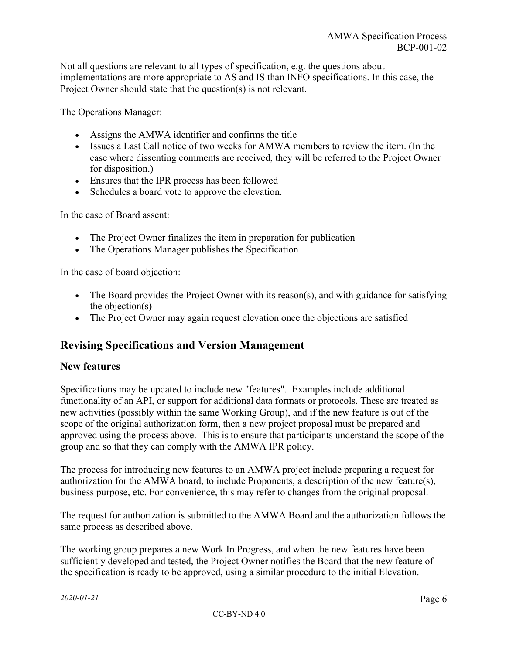Not all questions are relevant to all types of specification, e.g. the questions about implementations are more appropriate to AS and IS than INFO specifications. In this case, the Project Owner should state that the question(s) is not relevant.

The Operations Manager:

- Assigns the AMWA identifier and confirms the title
- Issues a Last Call notice of two weeks for AMWA members to review the item. (In the case where dissenting comments are received, they will be referred to the Project Owner for disposition.)
- Ensures that the IPR process has been followed
- Schedules a board vote to approve the elevation.

In the case of Board assent:

- The Project Owner finalizes the item in preparation for publication
- The Operations Manager publishes the Specification

In the case of board objection:

- The Board provides the Project Owner with its reason(s), and with guidance for satisfying the objection(s)
- The Project Owner may again request elevation once the objections are satisfied

# **Revising Specifications and Version Management**

#### **New features**

Specifications may be updated to include new "features". Examples include additional functionality of an API, or support for additional data formats or protocols. These are treated as new activities (possibly within the same Working Group), and if the new feature is out of the scope of the original authorization form, then a new project proposal must be prepared and approved using the process above. This is to ensure that participants understand the scope of the group and so that they can comply with the AMWA IPR policy.

The process for introducing new features to an AMWA project include preparing a request for authorization for the AMWA board, to include Proponents, a description of the new feature(s), business purpose, etc. For convenience, this may refer to changes from the original proposal.

The request for authorization is submitted to the AMWA Board and the authorization follows the same process as described above.

The working group prepares a new Work In Progress, and when the new features have been sufficiently developed and tested, the Project Owner notifies the Board that the new feature of the specification is ready to be approved, using a similar procedure to the initial Elevation.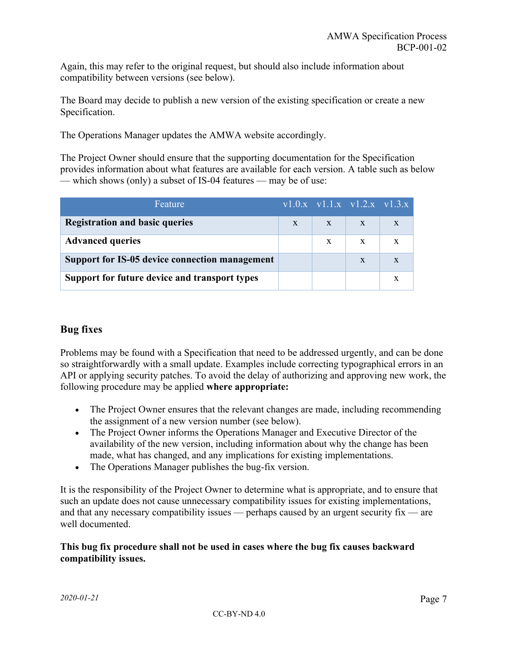Again, this may refer to the original request, but should also include information about compatibility between versions (see below).

The Board may decide to publish a new version of the existing specification or create a new Specification.

The Operations Manager updates the AMWA website accordingly.

The Project Owner should ensure that the supporting documentation for the Specification provides information about what features are available for each version. A table such as below — which shows (only) a subset of IS-04 features — may be of use:

| Feature                                               |              |   | $\overline{v1.0.x}$ $\overline{v1.1.x}$ $\overline{v1.2.x}$ $\overline{v1.3.x}$ |  |
|-------------------------------------------------------|--------------|---|---------------------------------------------------------------------------------|--|
| <b>Registration and basic queries</b>                 | $\mathbf{X}$ | X | $\mathbf{X}$                                                                    |  |
| <b>Advanced queries</b>                               |              | X | $\mathbf{X}$                                                                    |  |
| <b>Support for IS-05 device connection management</b> |              |   | X                                                                               |  |
| Support for future device and transport types         |              |   |                                                                                 |  |

## **Bug fixes**

Problems may be found with a Specification that need to be addressed urgently, and can be done so straightforwardly with a small update. Examples include correcting typographical errors in an API or applying security patches. To avoid the delay of authorizing and approving new work, the following procedure may be applied **where appropriate:**

- The Project Owner ensures that the relevant changes are made, including recommending the assignment of a new version number (see below).
- The Project Owner informs the Operations Manager and Executive Director of the availability of the new version, including information about why the change has been made, what has changed, and any implications for existing implementations.
- The Operations Manager publishes the bug-fix version.

It is the responsibility of the Project Owner to determine what is appropriate, and to ensure that such an update does not cause unnecessary compatibility issues for existing implementations, and that any necessary compatibility issues — perhaps caused by an urgent security fix — are well documented.

#### **This bug fix procedure shall not be used in cases where the bug fix causes backward compatibility issues.**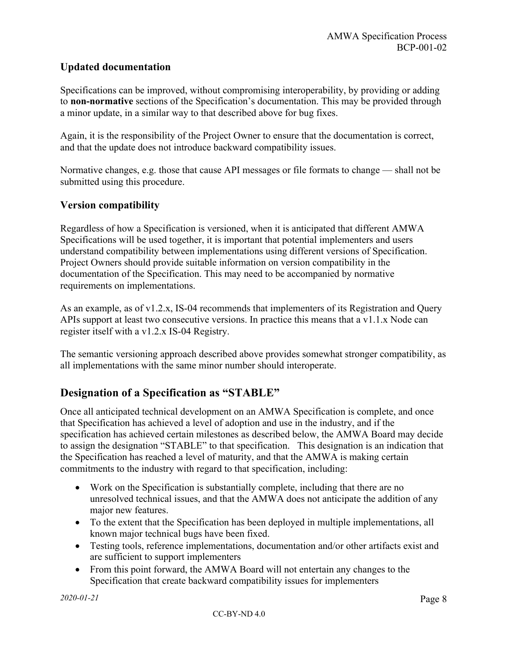### **Updated documentation**

Specifications can be improved, without compromising interoperability, by providing or adding to **non-normative** sections of the Specification's documentation. This may be provided through a minor update, in a similar way to that described above for bug fixes.

Again, it is the responsibility of the Project Owner to ensure that the documentation is correct, and that the update does not introduce backward compatibility issues.

Normative changes, e.g. those that cause API messages or file formats to change — shall not be submitted using this procedure.

#### **Version compatibility**

Regardless of how a Specification is versioned, when it is anticipated that different AMWA Specifications will be used together, it is important that potential implementers and users understand compatibility between implementations using different versions of Specification. Project Owners should provide suitable information on version compatibility in the documentation of the Specification. This may need to be accompanied by normative requirements on implementations.

As an example, as of v1.2.x, IS-04 recommends that implementers of its Registration and Query APIs support at least two consecutive versions. In practice this means that a v1.1.x Node can register itself with a v1.2.x IS-04 Registry.

The semantic versioning approach described above provides somewhat stronger compatibility, as all implementations with the same minor number should interoperate.

# **Designation of a Specification as "STABLE"**

Once all anticipated technical development on an AMWA Specification is complete, and once that Specification has achieved a level of adoption and use in the industry, and if the specification has achieved certain milestones as described below, the AMWA Board may decide to assign the designation "STABLE" to that specification. This designation is an indication that the Specification has reached a level of maturity, and that the AMWA is making certain commitments to the industry with regard to that specification, including:

- Work on the Specification is substantially complete, including that there are no unresolved technical issues, and that the AMWA does not anticipate the addition of any major new features.
- To the extent that the Specification has been deployed in multiple implementations, all known major technical bugs have been fixed.
- Testing tools, reference implementations, documentation and/or other artifacts exist and are sufficient to support implementers
- From this point forward, the AMWA Board will not entertain any changes to the Specification that create backward compatibility issues for implementers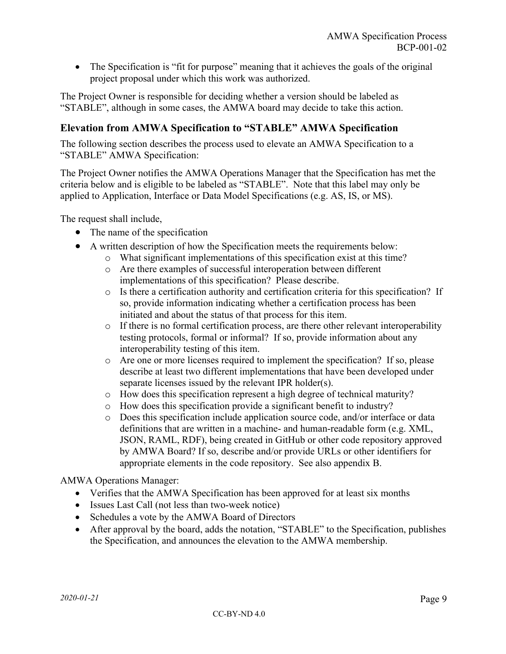• The Specification is "fit for purpose" meaning that it achieves the goals of the original project proposal under which this work was authorized.

The Project Owner is responsible for deciding whether a version should be labeled as "STABLE", although in some cases, the AMWA board may decide to take this action.

### **Elevation from AMWA Specification to "STABLE" AMWA Specification**

The following section describes the process used to elevate an AMWA Specification to a "STABLE" AMWA Specification:

The Project Owner notifies the AMWA Operations Manager that the Specification has met the criteria below and is eligible to be labeled as "STABLE". Note that this label may only be applied to Application, Interface or Data Model Specifications (e.g. AS, IS, or MS).

The request shall include,

- The name of the specification
- A written description of how the Specification meets the requirements below:
	- o What significant implementations of this specification exist at this time?
	- o Are there examples of successful interoperation between different implementations of this specification? Please describe.
	- o Is there a certification authority and certification criteria for this specification? If so, provide information indicating whether a certification process has been initiated and about the status of that process for this item.
	- o If there is no formal certification process, are there other relevant interoperability testing protocols, formal or informal? If so, provide information about any interoperability testing of this item.
	- o Are one or more licenses required to implement the specification? If so, please describe at least two different implementations that have been developed under separate licenses issued by the relevant IPR holder(s).
	- o How does this specification represent a high degree of technical maturity?
	- o How does this specification provide a significant benefit to industry?
	- o Does this specification include application source code, and/or interface or data definitions that are written in a machine- and human-readable form (e.g. XML, JSON, RAML, RDF), being created in GitHub or other code repository approved by AMWA Board? If so, describe and/or provide URLs or other identifiers for appropriate elements in the code repository. See also appendix B.

#### AMWA Operations Manager:

- Verifies that the AMWA Specification has been approved for at least six months
- Issues Last Call (not less than two-week notice)
- Schedules a vote by the AMWA Board of Directors
- After approval by the board, adds the notation, "STABLE" to the Specification, publishes the Specification, and announces the elevation to the AMWA membership.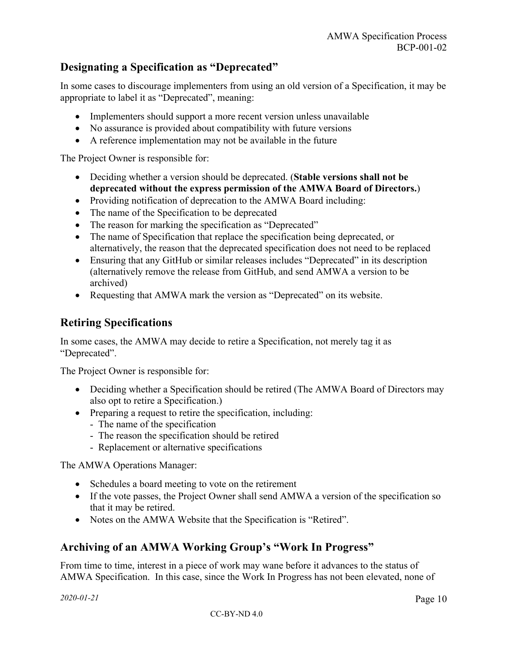# **Designating a Specification as "Deprecated"**

In some cases to discourage implementers from using an old version of a Specification, it may be appropriate to label it as "Deprecated", meaning:

- Implementers should support a more recent version unless unavailable
- No assurance is provided about compatibility with future versions
- A reference implementation may not be available in the future

The Project Owner is responsible for:

- Deciding whether a version should be deprecated. (**Stable versions shall not be deprecated without the express permission of the AMWA Board of Directors.**)
- Providing notification of deprecation to the AMWA Board including:
- The name of the Specification to be deprecated
- The reason for marking the specification as "Deprecated"
- The name of Specification that replace the specification being deprecated, or alternatively, the reason that the deprecated specification does not need to be replaced
- Ensuring that any GitHub or similar releases includes "Deprecated" in its description (alternatively remove the release from GitHub, and send AMWA a version to be archived)
- Requesting that AMWA mark the version as "Deprecated" on its website.

### **Retiring Specifications**

In some cases, the AMWA may decide to retire a Specification, not merely tag it as "Deprecated".

The Project Owner is responsible for:

- Deciding whether a Specification should be retired (The AMWA Board of Directors may also opt to retire a Specification.)
- Preparing a request to retire the specification, including:
	- The name of the specification
	- The reason the specification should be retired
	- Replacement or alternative specifications

The AMWA Operations Manager:

- Schedules a board meeting to vote on the retirement
- If the vote passes, the Project Owner shall send AMWA a version of the specification so that it may be retired.
- Notes on the AMWA Website that the Specification is "Retired".

# **Archiving of an AMWA Working Group's "Work In Progress"**

From time to time, interest in a piece of work may wane before it advances to the status of AMWA Specification. In this case, since the Work In Progress has not been elevated, none of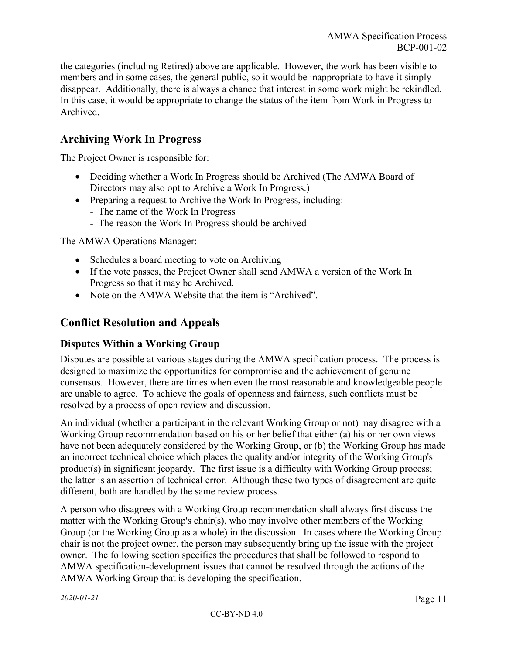the categories (including Retired) above are applicable. However, the work has been visible to members and in some cases, the general public, so it would be inappropriate to have it simply disappear. Additionally, there is always a chance that interest in some work might be rekindled. In this case, it would be appropriate to change the status of the item from Work in Progress to Archived.

# **Archiving Work In Progress**

The Project Owner is responsible for:

- Deciding whether a Work In Progress should be Archived (The AMWA Board of Directors may also opt to Archive a Work In Progress.)
- Preparing a request to Archive the Work In Progress, including:
	- The name of the Work In Progress
	- The reason the Work In Progress should be archived

The AMWA Operations Manager:

- Schedules a board meeting to vote on Archiving
- If the vote passes, the Project Owner shall send AMWA a version of the Work In Progress so that it may be Archived.
- Note on the AMWA Website that the item is "Archived".

## **Conflict Resolution and Appeals**

### **Disputes Within a Working Group**

Disputes are possible at various stages during the AMWA specification process. The process is designed to maximize the opportunities for compromise and the achievement of genuine consensus. However, there are times when even the most reasonable and knowledgeable people are unable to agree. To achieve the goals of openness and fairness, such conflicts must be resolved by a process of open review and discussion.

An individual (whether a participant in the relevant Working Group or not) may disagree with a Working Group recommendation based on his or her belief that either (a) his or her own views have not been adequately considered by the Working Group, or (b) the Working Group has made an incorrect technical choice which places the quality and/or integrity of the Working Group's product(s) in significant jeopardy. The first issue is a difficulty with Working Group process; the latter is an assertion of technical error. Although these two types of disagreement are quite different, both are handled by the same review process.

A person who disagrees with a Working Group recommendation shall always first discuss the matter with the Working Group's chair(s), who may involve other members of the Working Group (or the Working Group as a whole) in the discussion. In cases where the Working Group chair is not the project owner, the person may subsequently bring up the issue with the project owner. The following section specifies the procedures that shall be followed to respond to AMWA specification-development issues that cannot be resolved through the actions of the AMWA Working Group that is developing the specification.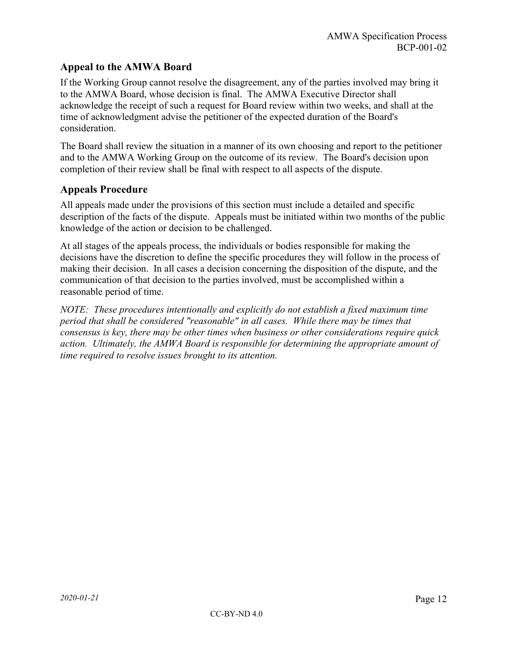## **Appeal to the AMWA Board**

If the Working Group cannot resolve the disagreement, any of the parties involved may bring it to the AMWA Board, whose decision is final. The AMWA Executive Director shall acknowledge the receipt of such a request for Board review within two weeks, and shall at the time of acknowledgment advise the petitioner of the expected duration of the Board's consideration.

The Board shall review the situation in a manner of its own choosing and report to the petitioner and to the AMWA Working Group on the outcome of its review. The Board's decision upon completion of their review shall be final with respect to all aspects of the dispute.

### **Appeals Procedure**

All appeals made under the provisions of this section must include a detailed and specific description of the facts of the dispute. Appeals must be initiated within two months of the public knowledge of the action or decision to be challenged.

At all stages of the appeals process, the individuals or bodies responsible for making the decisions have the discretion to define the specific procedures they will follow in the process of making their decision. In all cases a decision concerning the disposition of the dispute, and the communication of that decision to the parties involved, must be accomplished within a reasonable period of time.

*NOTE: These procedures intentionally and explicitly do not establish a fixed maximum time period that shall be considered "reasonable" in all cases. While there may be times that consensus is key, there may be other times when business or other considerations require quick action. Ultimately, the AMWA Board is responsible for determining the appropriate amount of time required to resolve issues brought to its attention.*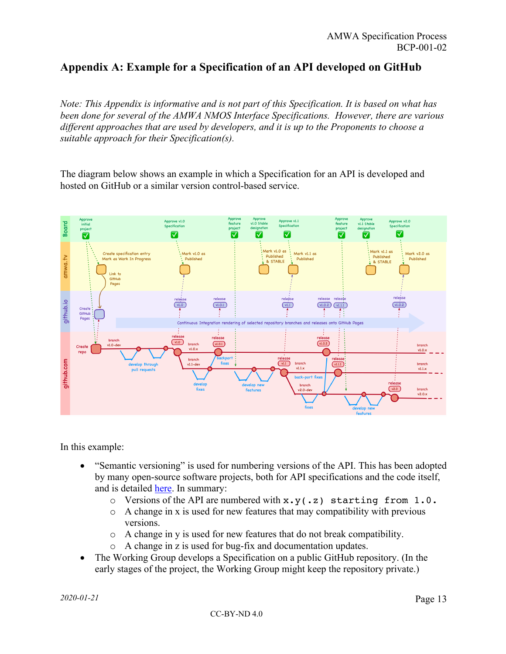# **Appendix A: Example for a Specification of an API developed on GitHub**

*Note: This Appendix is informative and is not part of this Specification. It is based on what has been done for several of the AMWA NMOS Interface Specifications. However, there are various different approaches that are used by developers, and it is up to the Proponents to choose a suitable approach for their Specification(s).*

The diagram below shows an example in which a Specification for an API is developed and hosted on GitHub or a similar version control-based service.



In this example:

- "Semantic versioning" is used for numbering versions of the API. This has been adopted by many open-source software projects, both for API specifications and the code itself, and is detailed here. In summary:
	- o Versions of the API are numbered with x.y(.z) starting from 1.0.
	- o A change in x is used for new features that may compatibility with previous versions.
	- $\circ$  A change in y is used for new features that do not break compatibility.
	- o A change in z is used for bug-fix and documentation updates.
- The Working Group develops a Specification on a public GitHub repository. (In the early stages of the project, the Working Group might keep the repository private.)